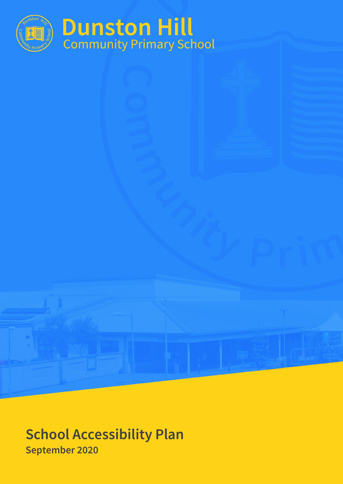

**School Accessibility Plan September 2020**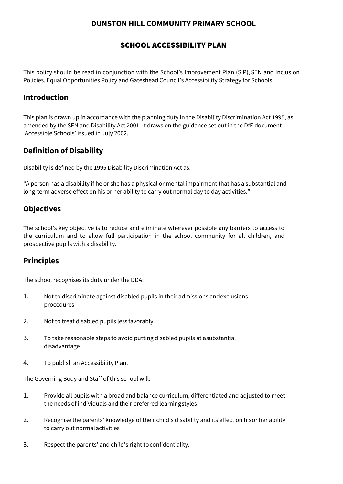### **DUNSTON HILL COMMUNITY PRIMARY SCHOOL**

### SCHOOL ACCESSIBILITY PLAN

This policy should be read in conjunction with the School's Improvement Plan (SIP), SEN and Inclusion Policies, Equal Opportunities Policy and Gateshead Council's Accessibility Strategy for Schools.

### **Introduction**

This plan is drawn up in accordance with the planning duty in the Disability Discrimination Act 1995, as amended by the SEN and Disability Act 2001. It draws on the guidance set out in the DfE document 'Accessible Schools' issued in July 2002.

## **Definition of Disability**

Disability is defined by the 1995 Disability Discrimination Act as:

"A person has a disability if he or she has a physical or mental impairment that has a substantial and long-term adverse effect on his or her ability to carry out normal day to day activities."

## **Objectives**

The school's key objective is to reduce and eliminate wherever possible any barriers to access to the curriculum and to allow full participation in the school community for all children, and prospective pupils with a disability.

## **Principles**

The school recognises its duty under the DDA:

- 1. Not to discriminate against disabled pupils in their admissions andexclusions procedures
- 2. Not to treat disabled pupils less favorably
- 3. To take reasonable steps to avoid putting disabled pupils at asubstantial disadvantage
- 4. To publish an Accessibility Plan.

The Governing Body and Staff of this school will:

- 1. Provide all pupils with a broad and balance curriculum, differentiated and adjusted to meet the needs of individuals and their preferred learningstyles
- 2. Recognise the parents' knowledge of their child's disability and its effect on hisor her ability to carry out normalactivities
- 3. Respect the parents' and child's right toconfidentiality.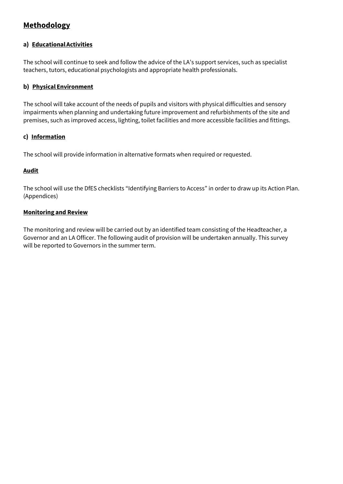## **Methodology**

#### **a) EducationalActivities**

The school will continue to seek and follow the advice of the LA's support services, such as specialist teachers, tutors, educational psychologists and appropriate health professionals.

#### **b) Physical Environment**

The school will take account of the needs of pupils and visitors with physical difficulties and sensory impairments when planning and undertaking future improvement and refurbishments of the site and premises, such as improved access, lighting, toilet facilities and more accessible facilities and fittings.

#### **c) Information**

The school will provide information in alternative formats when required or requested.

#### **Audit**

The school will use the DfES checklists "Identifying Barriers to Access" in order to draw up its Action Plan. (Appendices)

#### **Monitoring and Review**

The monitoring and review will be carried out by an identified team consisting of the Headteacher, a Governor and an LA Officer. The following audit of provision will be undertaken annually. This survey will be reported to Governors in the summer term.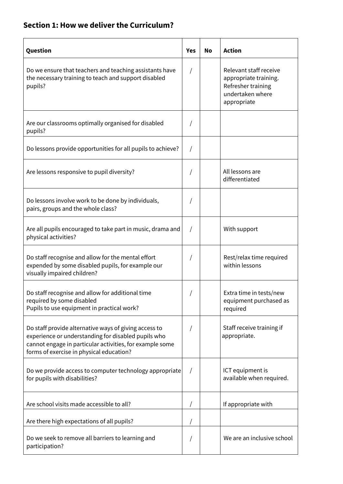## **Section 1: How we deliver the Curriculum?**

| Question                                                                                                                                                                                                             | Yes      | No | <b>Action</b>                                                                                            |  |
|----------------------------------------------------------------------------------------------------------------------------------------------------------------------------------------------------------------------|----------|----|----------------------------------------------------------------------------------------------------------|--|
| Do we ensure that teachers and teaching assistants have<br>the necessary training to teach and support disabled<br>pupils?                                                                                           |          |    | Relevant staff receive<br>appropriate training.<br>Refresher training<br>undertaken where<br>appropriate |  |
| Are our classrooms optimally organised for disabled<br>pupils?                                                                                                                                                       |          |    |                                                                                                          |  |
| Do lessons provide opportunities for all pupils to achieve?                                                                                                                                                          |          |    |                                                                                                          |  |
| Are lessons responsive to pupil diversity?                                                                                                                                                                           |          |    | All lessons are<br>differentiated                                                                        |  |
| Do lessons involve work to be done by individuals,<br>pairs, groups and the whole class?                                                                                                                             |          |    |                                                                                                          |  |
| Are all pupils encouraged to take part in music, drama and<br>physical activities?                                                                                                                                   | $\prime$ |    | With support                                                                                             |  |
| Do staff recognise and allow for the mental effort<br>expended by some disabled pupils, for example our<br>visually impaired children?                                                                               |          |    | Rest/relax time required<br>within lessons                                                               |  |
| Do staff recognise and allow for additional time<br>required by some disabled<br>Pupils to use equipment in practical work?                                                                                          |          |    | Extra time in tests/new<br>equipment purchased as<br>required                                            |  |
| Do staff provide alternative ways of giving access to<br>experience or understanding for disabled pupils who<br>cannot engage in particular activities, for example some<br>forms of exercise in physical education? |          |    | Staff receive training if<br>appropriate.                                                                |  |
| Do we provide access to computer technology appropriate<br>for pupils with disabilities?                                                                                                                             | $\prime$ |    | ICT equipment is<br>available when required.                                                             |  |
| Are school visits made accessible to all?                                                                                                                                                                            |          |    | If appropriate with                                                                                      |  |
| Are there high expectations of all pupils?                                                                                                                                                                           |          |    |                                                                                                          |  |
| Do we seek to remove all barriers to learning and<br>participation?                                                                                                                                                  |          |    | We are an inclusive school                                                                               |  |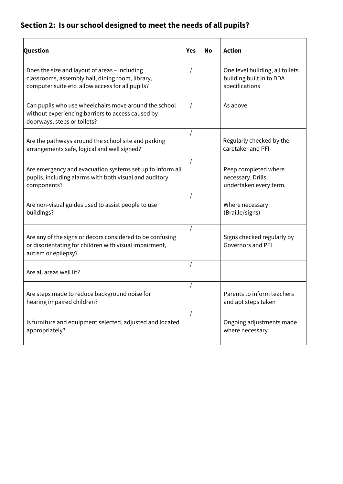# **Section 2: Is our school designed to meet the needs of all pupils?**

| <b>Question</b>                                                                                                                                       | <b>Yes</b> | No | <b>Action</b>                                                                 |  |
|-------------------------------------------------------------------------------------------------------------------------------------------------------|------------|----|-------------------------------------------------------------------------------|--|
| Does the size and layout of areas - including<br>classrooms, assembly hall, dining room, library,<br>computer suite etc. allow access for all pupils? |            |    | One level building, all toilets<br>building built in to DDA<br>specifications |  |
| Can pupils who use wheelchairs move around the school<br>without experiencing barriers to access caused by<br>doorways, steps or toilets?             |            |    | As above                                                                      |  |
| Are the pathways around the school site and parking<br>arrangements safe, logical and well signed?                                                    |            |    | Regularly checked by the<br>caretaker and PFI                                 |  |
| Are emergency and evacuation systems set up to inform all<br>pupils, including alarms with both visual and auditory<br>components?                    | $\sqrt{2}$ |    | Peep completed where<br>necessary. Drills<br>undertaken every term.           |  |
| Are non-visual guides used to assist people to use<br>buildings?                                                                                      |            |    | Where necessary<br>(Braille/signs)                                            |  |
| Are any of the signs or decors considered to be confusing<br>or disorientating for children with visual impairment,<br>autism or epilepsy?            |            |    | Signs checked regularly by<br><b>Governors and PFI</b>                        |  |
| Are all areas well lit?                                                                                                                               | $\sqrt{2}$ |    |                                                                               |  |
| Are steps made to reduce background noise for<br>hearing impaired children?                                                                           |            |    | Parents to inform teachers<br>and apt steps taken                             |  |
| Is furniture and equipment selected, adjusted and located<br>appropriately?                                                                           |            |    | Ongoing adjustments made<br>where necessary                                   |  |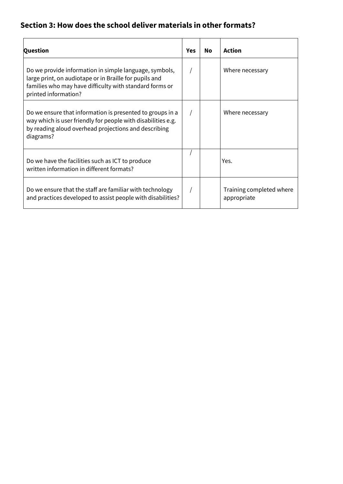## **Section 3: How does the school deliver materials in other formats?**

| Question                                                                                                                                                                                            | Yes | Nο              | <b>Action</b>                           |  |
|-----------------------------------------------------------------------------------------------------------------------------------------------------------------------------------------------------|-----|-----------------|-----------------------------------------|--|
| Do we provide information in simple language, symbols,<br>large print, on audiotape or in Braille for pupils and<br>families who may have difficulty with standard forms or<br>printed information? |     | Where necessary |                                         |  |
| Do we ensure that information is presented to groups in a<br>way which is user friendly for people with disabilities e.g.<br>by reading aloud overhead projections and describing<br>diagrams?      |     |                 | Where necessary                         |  |
| Do we have the facilities such as ICT to produce<br>written information in different formats?                                                                                                       |     |                 | Yes.                                    |  |
| Do we ensure that the staff are familiar with technology<br>and practices developed to assist people with disabilities?                                                                             |     |                 | Training completed where<br>appropriate |  |